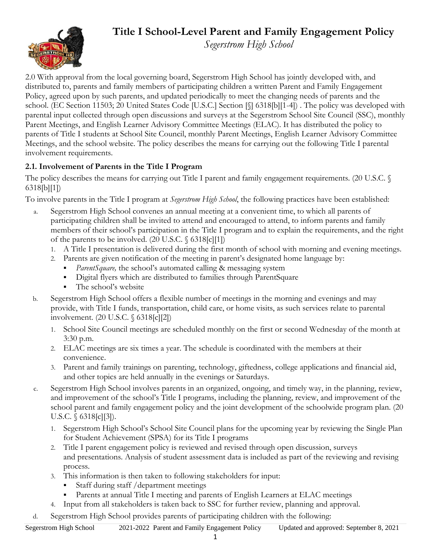# **Title I School-Level Parent and Family Engagement Policy**



*Segerstrom High School*

2.0 With approval from the local governing board, Segerstrom High School has jointly developed with, and distributed to, parents and family members of participating children a written Parent and Family Engagement Policy, agreed upon by such parents, and updated periodically to meet the changing needs of parents and the school. (EC Section 11503; 20 United States Code [U.S.C.] Section [§] 6318[b][1-4]) . The policy was developed with parental input collected through open discussions and surveys at the Segerstrom School Site Council (SSC), monthly Parent Meetings, and English Learner Advisory Committee Meetings (ELAC). It has distributed the policy to parents of Title I students at School Site Council, monthly Parent Meetings, English Learner Advisory Committee Meetings, and the school website. The policy describes the means for carrying out the following Title I parental involvement requirements.

#### **2.1. Involvement of Parents in the Title I Program**

The policy describes the means for carrying out Title I parent and family engagement requirements. (20 U.S.C. § 6318[b][1])

To involve parents in the Title I program at *Segerstrom High School*, the following practices have been established:

- a. Segerstrom High School convenes an annual meeting at a convenient time, to which all parents of participating children shall be invited to attend and encouraged to attend, to inform parents and family members of their school's participation in the Title I program and to explain the requirements, and the right of the parents to be involved. (20 U.S.C. § 6318[c][1])
	- 1. A Title I presentation is delivered during the first month of school with morning and evening meetings.
	- 2. Parents are given notification of the meeting in parent's designated home language by:
		- *ParentSquare,* the school's automated calling & messaging system
		- Digital flyers which are distributed to families through ParentSquare
		- The school's website
- b. Segerstrom High School offers a flexible number of meetings in the morning and evenings and may provide, with Title I funds, transportation, child care, or home visits, as such services relate to parental involvement. (20 U.S.C. § 6318[c][2])
	- 1. School Site Council meetings are scheduled monthly on the first or second Wednesday of the month at 3:30 p.m.
	- 2. ELAC meetings are six times a year. The schedule is coordinated with the members at their convenience.
	- 3. Parent and family trainings on parenting, technology, giftedness, college applications and financial aid, and other topics are held annually in the evenings or Saturdays.
- c. Segerstrom High School involves parents in an organized, ongoing, and timely way, in the planning, review, and improvement of the school's Title I programs, including the planning, review, and improvement of the school parent and family engagement policy and the joint development of the schoolwide program plan. (20 U.S.C. § 6318[c][3]).
	- 1. Segerstrom High School's School Site Council plans for the upcoming year by reviewing the Single Plan for Student Achievement (SPSA) for its Title I programs
	- 2. Title I parent engagement policy is reviewed and revised through open discussion, surveys and presentations. Analysis of student assessment data is included as part of the reviewing and revising process.
	- 3. This information is then taken to following stakeholders for input:
		- Staff during staff /department meetings
		- Parents at annual Title I meeting and parents of English Learners at ELAC meetings
	- 4. Input from all stakeholders is taken back to SSC for further review, planning and approval.
- d. Segerstrom High School provides parents of participating children with the following: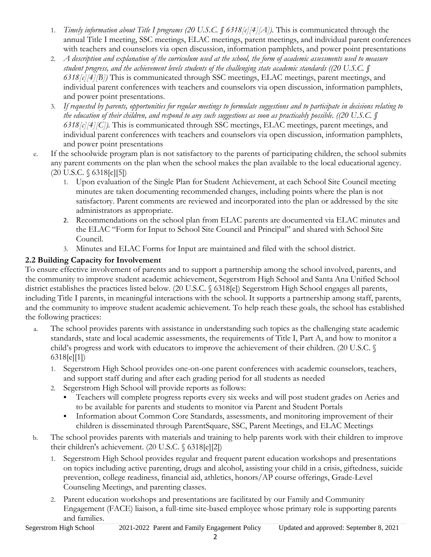- 1. *Timely information about Title I programs (20 U.S.C. § 6318[c][4][A]).* This is communicated through the annual Title I meeting, SSC meetings, ELAC meetings, parent meetings, and individual parent conferences with teachers and counselors via open discussion, information pamphlets, and power point presentations
- 2. *A description and explanation of the curriculum used at the school, the form of academic assessments used to measure student progress, and the achievement levels students of the challenging state academic standards ((20 U.S.C. § 6318[c][4][B])* This is communicated through SSC meetings, ELAC meetings, parent meetings, and individual parent conferences with teachers and counselors via open discussion, information pamphlets, and power point presentations.
- 3. *If requested by parents, opportunities for regular meetings to formulate suggestions and to participate in decisions relating to the education of their children, and respond to any such suggestions as soon as practicably possible. ((20 U.S.C. §*   $6318\pi$ [*c]*[4][*C*]). This is communicated through SSC meetings, ELAC meetings, parent meetings, and individual parent conferences with teachers and counselors via open discussion, information pamphlets, and power point presentations
- e. If the schoolwide program plan is not satisfactory to the parents of participating children, the school submits any parent comments on the plan when the school makes the plan available to the local educational agency. (20 U.S.C. § 6318[c][5])
	- 1. Upon evaluation of the Single Plan for Student Achievement, at each School Site Council meeting minutes are taken documenting recommended changes, including points where the plan is not satisfactory. Parent comments are reviewed and incorporated into the plan or addressed by the site administrators as appropriate.
	- 2. Recommendations on the school plan from ELAC parents are documented via ELAC minutes and the ELAC "Form for Input to School Site Council and Principal" and shared with School Site Council.
	- 3. Minutes and ELAC Forms for Input are maintained and filed with the school district.

## **2.2 Building Capacity for Involvement**

To ensure effective involvement of parents and to support a partnership among the school involved, parents, and the community to improve student academic achievement, Segerstrom High School and Santa Ana Unified School district establishes the practices listed below. (20 U.S.C. § 6318[e]) Segerstrom High School engages all parents, including Title I parents, in meaningful interactions with the school. It supports a partnership among staff, parents, and the community to improve student academic achievement. To help reach these goals, the school has established the following practices:

- a. The school provides parents with assistance in understanding such topics as the challenging state academic standards, state and local academic assessments, the requirements of Title I, Part A, and how to monitor a child's progress and work with educators to improve the achievement of their children. (20 U.S.C. § 6318[e][1])
	- 1. Segerstrom High School provides one-on-one parent conferences with academic counselors, teachers, and support staff during and after each grading period for all students as needed
	- 2. Segerstrom High School will provide reports as follows:
		- Teachers will complete progress reports every six weeks and will post student grades on Aeries and to be available for parents and students to monitor via Parent and Student Portals
		- Information about Common Core Standards, assessments, and monitoring improvement of their children is disseminated through ParentSquare, SSC, Parent Meetings, and ELAC Meetings
- b. The school provides parents with materials and training to help parents work with their children to improve their children's achievement. (20 U.S.C. § 6318[e][2])
	- 1. Segerstrom High School provides regular and frequent parent education workshops and presentations on topics including active parenting, drugs and alcohol, assisting your child in a crisis, giftedness, suicide prevention, college readiness, financial aid, athletics, honors/AP course offerings, Grade-Level Counseling Meetings, and parenting classes.
	- 2. Parent education workshops and presentations are facilitated by our Family and Community Engagement (FACE) liaison, a full-time site-based employee whose primary role is supporting parents and families.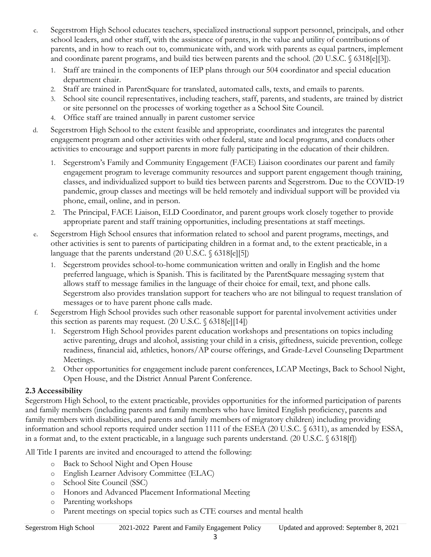- c. Segerstrom High School educates teachers, specialized instructional support personnel, principals, and other school leaders, and other staff, with the assistance of parents, in the value and utility of contributions of parents, and in how to reach out to, communicate with, and work with parents as equal partners, implement and coordinate parent programs, and build ties between parents and the school. (20 U.S.C. § 6318[e][3]).
	- 1. Staff are trained in the components of IEP plans through our 504 coordinator and special education department chair.
	- 2. Staff are trained in ParentSquare for translated, automated calls, texts, and emails to parents.
	- 3. School site council representatives, including teachers, staff, parents, and students, are trained by district or site personnel on the processes of working together as a School Site Council.
	- 4. Office staff are trained annually in parent customer service
- d. Segerstrom High School to the extent feasible and appropriate, coordinates and integrates the parental engagement program and other activities with other federal, state and local programs, and conducts other activities to encourage and support parents in more fully participating in the education of their children.
	- 1. Segerstrom's Family and Community Engagement (FACE) Liaison coordinates our parent and family engagement program to leverage community resources and support parent engagement though training, classes, and individualized support to build ties between parents and Segerstrom. Due to the COVID-19 pandemic, group classes and meetings will be held remotely and individual support will be provided via phone, email, online, and in person.
	- 2. The Principal, FACE Liaison, ELD Coordinator, and parent groups work closely together to provide appropriate parent and staff training opportunities, including presentations at staff meetings.
- e. Segerstrom High School ensures that information related to school and parent programs, meetings, and other activities is sent to parents of participating children in a format and, to the extent practicable, in a language that the parents understand (20 U.S.C. § 6318[e][5])
	- 1. Segerstrom provides school-to-home communication written and orally in English and the home preferred language, which is Spanish. This is facilitated by the ParentSquare messaging system that allows staff to message families in the language of their choice for email, text, and phone calls. Segerstrom also provides translation support for teachers who are not bilingual to request translation of messages or to have parent phone calls made.
- f. Segerstrom High School provides such other reasonable support for parental involvement activities under this section as parents may request. (20 U.S.C. § 6318[e][14])
	- 1. Segerstrom High School provides parent education workshops and presentations on topics including active parenting, drugs and alcohol, assisting your child in a crisis, giftedness, suicide prevention, college readiness, financial aid, athletics, honors/AP course offerings, and Grade-Level Counseling Department Meetings.
	- 2. Other opportunities for engagement include parent conferences, LCAP Meetings, Back to School Night, Open House, and the District Annual Parent Conference.

#### **2.3 Accessibility**

Segerstrom High School, to the extent practicable, provides opportunities for the informed participation of parents and family members (including parents and family members who have limited English proficiency, parents and family members with disabilities, and parents and family members of migratory children) including providing information and school reports required under section 1111 of the ESEA (20 U.S.C. § 6311), as amended by ESSA, in a format and, to the extent practicable, in a language such parents understand. (20 U.S.C. § 6318[f])

All Title I parents are invited and encouraged to attend the following:

- o Back to School Night and Open House
- o English Learner Advisory Committee (ELAC)
- o School Site Council (SSC)
- o Honors and Advanced Placement Informational Meeting
- o Parenting workshops
- o Parent meetings on special topics such as CTE courses and mental health